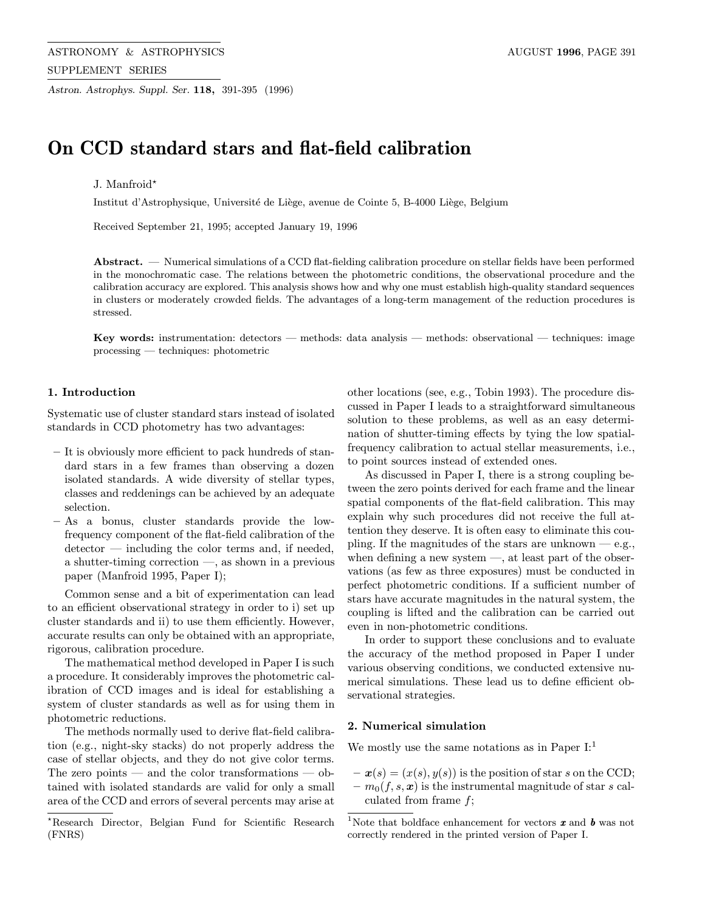Astron. Astrophys. Suppl. Ser. 118, 391-395 (1996)

# On CCD standard stars and flat-field calibration

# J. Manfroid?

Institut d'Astrophysique, Université de Liège, avenue de Cointe 5, B-4000 Liège, Belgium

Received September 21, 1995; accepted January 19, 1996

Abstract. — Numerical simulations of a CCD flat-fielding calibration procedure on stellar fields have been performed in the monochromatic case. The relations between the photometric conditions, the observational procedure and the calibration accuracy are explored. This analysis shows how and why one must establish high-quality standard sequences in clusters or moderately crowded fields. The advantages of a long-term management of the reduction procedures is stressed.

Key words: instrumentation: detectors — methods: data analysis — methods: observational — techniques: image processing — techniques: photometric

# 1. Introduction

Systematic use of cluster standard stars instead of isolated standards in CCD photometry has two advantages:

- It is obviously more efficient to pack hundreds of standard stars in a few frames than observing a dozen isolated standards. A wide diversity of stellar types, classes and reddenings can be achieved by an adequate selection.
- As a bonus, cluster standards provide the lowfrequency component of the flat-field calibration of the detector — including the color terms and, if needed, a shutter-timing correction —, as shown in a previous paper (Manfroid 1995, Paper I);

Common sense and a bit of experimentation can lead to an efficient observational strategy in order to i) set up cluster standards and ii) to use them efficiently. However, accurate results can only be obtained with an appropriate, rigorous, calibration procedure.

The mathematical method developed in Paper I is such a procedure. It considerably improves the photometric calibration of CCD images and is ideal for establishing a system of cluster standards as well as for using them in photometric reductions.

The methods normally used to derive flat-field calibration (e.g., night-sky stacks) do not properly address the case of stellar objects, and they do not give color terms. The zero points — and the color transformations — obtained with isolated standards are valid for only a small area of the CCD and errors of several percents may arise at other locations (see, e.g., Tobin 1993). The procedure discussed in Paper I leads to a straightforward simultaneous solution to these problems, as well as an easy determination of shutter-timing effects by tying the low spatialfrequency calibration to actual stellar measurements, i.e., to point sources instead of extended ones.

As discussed in Paper I, there is a strong coupling between the zero points derived for each frame and the linear spatial components of the flat-field calibration. This may explain why such procedures did not receive the full attention they deserve. It is often easy to eliminate this coupling. If the magnitudes of the stars are unknown  $-$  e.g., when defining a new system  $-$ , at least part of the observations (as few as three exposures) must be conducted in perfect photometric conditions. If a sufficient number of stars have accurate magnitudes in the natural system, the coupling is lifted and the calibration can be carried out even in non-photometric conditions.

In order to support these conclusions and to evaluate the accuracy of the method proposed in Paper I under various observing conditions, we conducted extensive numerical simulations. These lead us to define efficient observational strategies.

#### 2. Numerical simulation

We mostly use the same notations as in Paper  $I:$ <sup>1</sup>

 $-\boldsymbol{x}(s)=(x(s), y(s))$  is the position of star s on the CCD;  $- m_0(f, s, x)$  is the instrumental magnitude of star s calculated from frame f;

<sup>?</sup>Research Director, Belgian Fund for Scientific Research (FNRS)

 $^1\rm{Note}$  that boldface enhancement for vectors  $\pmb{x}$  and  $\pmb{b}$  was not correctly rendered in the printed version of Paper I.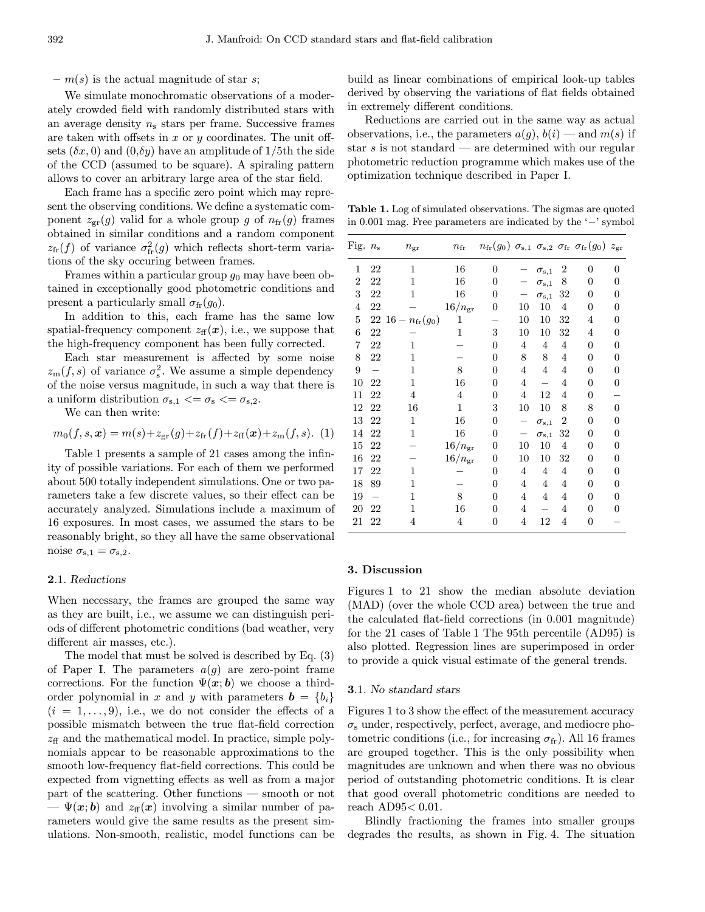$- m(s)$  is the actual magnitude of star s;

We simulate monochromatic observations of a moderately crowded field with randomly distributed stars with an average density  $n_s$  stars per frame. Successive frames are taken with offsets in  $x$  or  $y$  coordinates. The unit offsets  $(\delta x, 0)$  and  $(0, \delta y)$  have an amplitude of 1/5th the side of the CCD (assumed to be square). A spiraling pattern allows to cover an arbitrary large area of the star field.

Each frame has a specific zero point which may represent the observing conditions. We define a systematic component  $z_{\rm gr}(g)$  valid for a whole group g of  $n_{\rm fr}(g)$  frames obtained in similar conditions and a random component  $z_{\text{fr}}(f)$  of variance  $\sigma_{\text{fr}}^2(g)$  which reflects short-term variations of the sky occuring between frames.

Frames within a particular group  $g_0$  may have been obtained in exceptionally good photometric conditions and present a particularly small  $\sigma_{\rm fr}(g_0)$ .

In addition to this, each frame has the same low spatial-frequency component  $z_{\rm ff}(\mathbf{x})$ , i.e., we suppose that the high-frequency component has been fully corrected.

Each star measurement is affected by some noise  $z_{\rm m}(f, s)$  of variance  $\sigma_{\rm s}^2$ . We assume a simple dependency of the noise versus magnitude, in such a way that there is a uniform distribution  $\sigma_{s,1} \leq \sigma_s \leq \sigma_{s,2}$ .

We can then write:

$$
m_0(f, s, \mathbf{x}) = m(s) + z_{\text{gr}}(g) + z_{\text{fr}}(f) + z_{\text{ff}}(\mathbf{x}) + z_{\text{m}}(f, s). \tag{1}
$$

Table 1 presents a sample of 21 cases among the infinity of possible variations. For each of them we performed about 500 totally independent simulations. One or two parameters take a few discrete values, so their effect can be accurately analyzed. Simulations include a maximum of 16 exposures. In most cases, we assumed the stars to be reasonably bright, so they all have the same observational noise  $\sigma_{s,1} = \sigma_{s,2}$ .

#### 2.1. Reductions

When necessary, the frames are grouped the same way as they are built, i.e., we assume we can distinguish periods of different photometric conditions (bad weather, very different air masses, etc.).

The model that must be solved is described by Eq. (3) of Paper I. The parameters  $a(g)$  are zero-point frame corrections. For the function  $\Psi(x;b)$  we choose a thirdorder polynomial in x and y with parameters  $\mathbf{b} = \{b_i\}$  $(i = 1, \ldots, 9)$ , i.e., we do not consider the effects of a possible mismatch between the true flat-field correction  $z_{\rm ff}$  and the mathematical model. In practice, simple polynomials appear to be reasonable approximations to the smooth low-frequency flat-field corrections. This could be expected from vignetting effects as well as from a major part of the scattering. Other functions — smooth or not  $-\Psi(x;b)$  and  $z_{\rm ff}(x)$  involving a similar number of parameters would give the same results as the present simulations. Non-smooth, realistic, model functions can be build as linear combinations of empirical look-up tables derived by observing the variations of flat fields obtained in extremely different conditions.

Reductions are carried out in the same way as actual observations, i.e., the parameters  $a(g)$ ,  $b(i)$  — and  $m(s)$  if star s is not standard — are determined with our regular photometric reduction programme which makes use of the optimization technique described in Paper I.

Table 1. Log of simulated observations. The sigmas are quoted in 0.001 mag. Free parameters are indicated by the '−' symbol

| Fig. $n_{\rm s}$ |                          | $n_{\rm gr}$              | $n_{\rm fr}$    |                |                |                    |                  | $n_{\rm fr}(g_0) \, \sigma_{\rm s,1} \, \sigma_{\rm s,2} \, \sigma_{\rm fr} \, \sigma_{\rm fr}(g_0) \, z_{\rm gr}$ |                |
|------------------|--------------------------|---------------------------|-----------------|----------------|----------------|--------------------|------------------|--------------------------------------------------------------------------------------------------------------------|----------------|
| 1                | 22                       | 1                         | 16              | $\overline{0}$ |                | $\sigma_{\rm s,1}$ | $\boldsymbol{2}$ | $\overline{0}$                                                                                                     | 0              |
| $\boldsymbol{2}$ | 22                       | 1                         | 16              | 0              |                | $\sigma_{\rm s,1}$ | 8                | 0                                                                                                                  | 0              |
| 3                | 22                       | 1                         | 16              | 0              |                | $\sigma_{\rm s,1}$ | 32               | 0                                                                                                                  | 0              |
| $\overline{4}$   | 22                       |                           | $16/n_{\rm gr}$ | 0              | 10             | 10                 | 4                | 0                                                                                                                  | 0              |
| 5                |                          | 22 16 – $n_{\rm fr}(g_0)$ | 1               |                | 10             | 10                 | 32               | 4                                                                                                                  | $\theta$       |
| 6                | 22                       |                           | 1               | 3              | 10             | 10                 | 32               | 4                                                                                                                  | 0              |
| 7                | 22                       | 1                         |                 | 0              | $\overline{4}$ | 4                  | $\overline{4}$   | 0                                                                                                                  | 0              |
| 8                | 22                       | 1                         |                 | 0              | 8              | 8                  | 4                | 0                                                                                                                  | 0              |
| 9                |                          | 1                         | 8               | $\theta$       | $\overline{4}$ | $\overline{4}$     | 4                | 0                                                                                                                  | 0              |
| 10               | 22                       | 1                         | 16              | $\theta$       | $\overline{4}$ |                    | 4                | 0                                                                                                                  | 0              |
| 11               | 22                       | 4                         | 4               | $\theta$       | $\overline{4}$ | 12                 | 4                | 0                                                                                                                  |                |
| 12               | 22                       | 16                        | 1               | 3              | 10             | 10                 | 8                | 8                                                                                                                  | $\overline{0}$ |
| 13               | 22                       | 1                         | 16              | 0              | -              | $\sigma_{\rm s,1}$ | 2                | 0                                                                                                                  | 0              |
| 14               | 22                       | 1                         | 16              | 0              |                | $\sigma_{\rm s,1}$ | 32               | 0                                                                                                                  | 0              |
| 15               | 22                       |                           | $16/n_{\rm gr}$ | 0              | 10             | 10                 | 4                | 0                                                                                                                  | 0              |
| 16               | 22                       |                           | $16/n_{\rm gr}$ | 0              | 10             | 10                 | 32               | 0                                                                                                                  | 0              |
| 17               | 22                       | 1                         |                 | 0              | 4              | 4                  | 4                | 0                                                                                                                  | 0              |
| 18               | 89                       | 1                         |                 | 0              | $\overline{4}$ | 4                  | 4                | 0                                                                                                                  | 0              |
| 19               | $\overline{\phantom{0}}$ | 1                         | 8               | $\theta$       | $\overline{4}$ | $\overline{4}$     | 4                | 0                                                                                                                  | $\overline{0}$ |
| 20               | 22                       | 1                         | 16              | $\theta$       | 4              |                    | 4                | 0                                                                                                                  | 0              |
| 21               | 22                       | 4                         | 4               | 0              | $\overline{4}$ | 12                 | 4                | 0                                                                                                                  |                |
|                  |                          |                           |                 |                |                |                    |                  |                                                                                                                    |                |

#### 3. Discussion

Figures 1 to 21 show the median absolute deviation (MAD) (over the whole CCD area) between the true and the calculated flat-field corrections (in 0.001 magnitude) for the 21 cases of Table 1 The 95th percentile (AD95) is also plotted. Regression lines are superimposed in order to provide a quick visual estimate of the general trends.

## 3.1. No standard stars

Figures 1 to 3 show the effect of the measurement accuracy  $\sigma_s$  under, respectively, perfect, average, and mediocre photometric conditions (i.e., for increasing  $\sigma_{\rm fr}$ ). All 16 frames are grouped together. This is the only possibility when magnitudes are unknown and when there was no obvious period of outstanding photometric conditions. It is clear that good overall photometric conditions are needed to reach AD95< 0.01.

Blindly fractioning the frames into smaller groups degrades the results, as shown in Fig. 4. The situation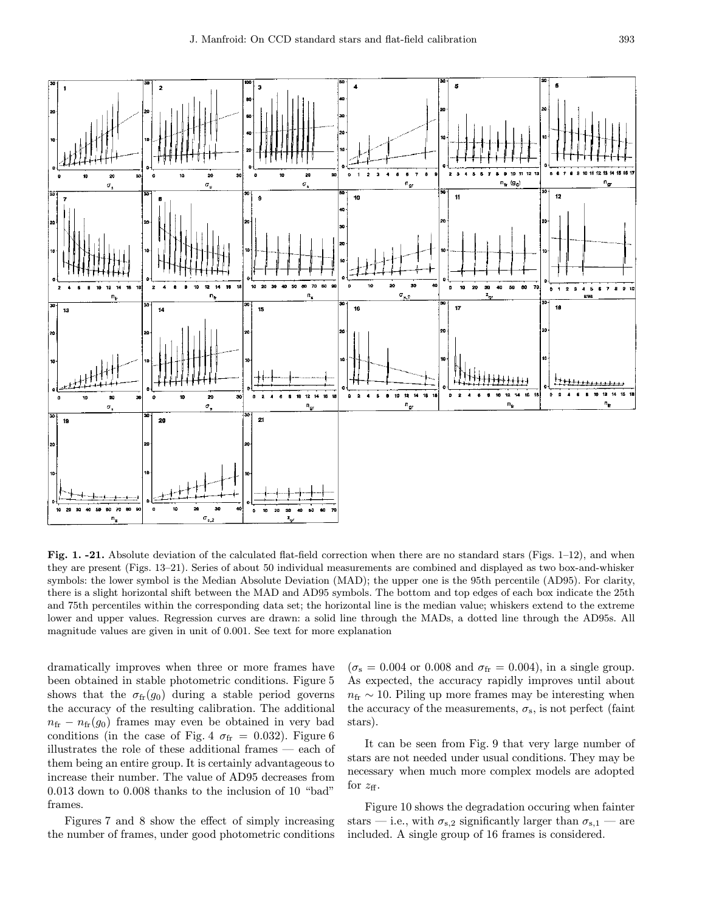

Fig. 1. -21. Absolute deviation of the calculated flat-field correction when there are no standard stars (Figs. 1–12), and when they are present (Figs. 13–21). Series of about 50 individual measurements are combined and displayed as two box-and-whisker symbols: the lower symbol is the Median Absolute Deviation (MAD); the upper one is the 95th percentile (AD95). For clarity, there is a slight horizontal shift between the MAD and AD95 symbols. The bottom and top edges of each box indicate the 25th and 75th percentiles within the corresponding data set; the horizontal line is the median value; whiskers extend to the extreme lower and upper values. Regression curves are drawn: a solid line through the MADs, a dotted line through the AD95s. All magnitude values are given in unit of 0.001. See text for more explanation

dramatically improves when three or more frames have been obtained in stable photometric conditions. Figure 5 shows that the  $\sigma_{\rm fr}(g_0)$  during a stable period governs the accuracy of the resulting calibration. The additional  $n_{\rm fr} - n_{\rm fr}(g_0)$  frames may even be obtained in very bad conditions (in the case of Fig. 4  $\sigma_{\text{fr}} = 0.032$ ). Figure 6 illustrates the role of these additional frames — each of them being an entire group. It is certainly advantageous to increase their number. The value of AD95 decreases from 0.013 down to 0.008 thanks to the inclusion of 10 "bad" frames.

Figures 7 and 8 show the effect of simply increasing the number of frames, under good photometric conditions  $(\sigma_{\rm s} = 0.004 \text{ or } 0.008 \text{ and } \sigma_{\rm fr} = 0.004), \text{ in a single group.}$ As expected, the accuracy rapidly improves until about  $n_{\text{fr}} \sim 10$ . Piling up more frames may be interesting when the accuracy of the measurements,  $\sigma_s$ , is not perfect (faint stars).

It can be seen from Fig. 9 that very large number of stars are not needed under usual conditions. They may be necessary when much more complex models are adopted for  $z_{\text{ff}}$ .

Figure 10 shows the degradation occuring when fainter stars — i.e., with  $\sigma_{s,2}$  significantly larger than  $\sigma_{s,1}$  — are included. A single group of 16 frames is considered.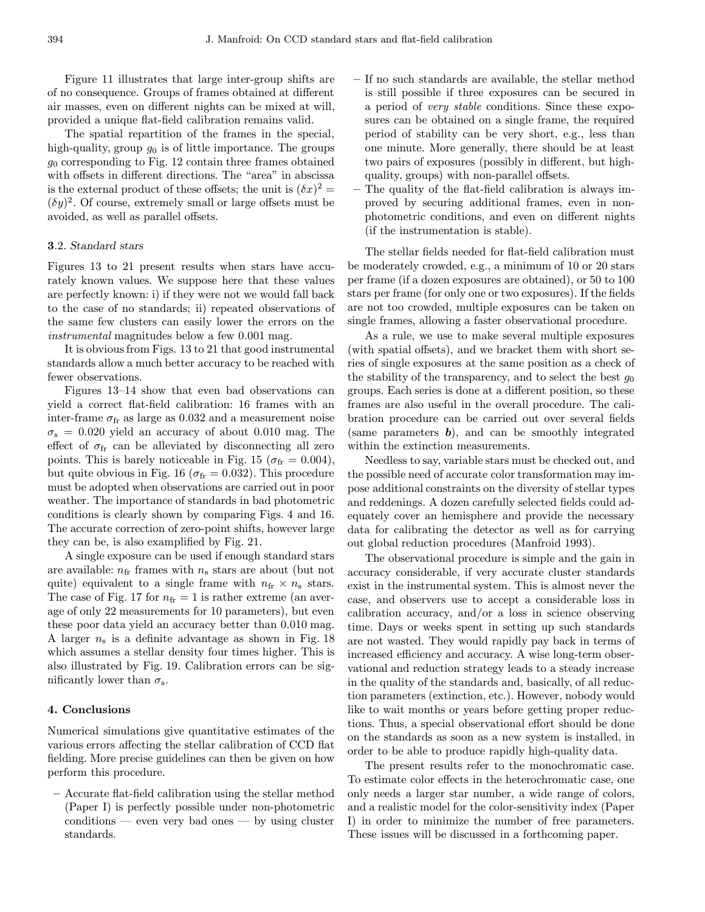Figure 11 illustrates that large inter-group shifts are of no consequence. Groups of frames obtained at different air masses, even on different nights can be mixed at will, provided a unique flat-field calibration remains valid.

The spatial repartition of the frames in the special, high-quality, group  $g_0$  is of little importance. The groups  $g_0$  corresponding to Fig. 12 contain three frames obtained with offsets in different directions. The "area" in abscissa is the external product of these offsets; the unit is  $(\delta x)^2 =$  $(\delta y)^2$ . Of course, extremely small or large offsets must be avoided, as well as parallel offsets.

## 3.2. Standard stars

Figures 13 to 21 present results when stars have accurately known values. We suppose here that these values are perfectly known: i) if they were not we would fall back to the case of no standards; ii) repeated observations of the same few clusters can easily lower the errors on the instrumental magnitudes below a few 0.001 mag.

It is obvious from Figs. 13 to 21 that good instrumental standards allow a much better accuracy to be reached with fewer observations.

Figures 13–14 show that even bad observations can yield a correct flat-field calibration: 16 frames with an inter-frame  $\sigma_{\rm fr}$  as large as 0.032 and a measurement noise  $\sigma_s = 0.020$  yield an accuracy of about 0.010 mag. The effect of  $\sigma_{\rm fr}$  can be alleviated by disconnecting all zero points. This is barely noticeable in Fig. 15 ( $\sigma_{\rm fr} = 0.004$ ), but quite obvious in Fig. 16 ( $\sigma_{\text{fr}} = 0.032$ ). This procedure must be adopted when observations are carried out in poor weather. The importance of standards in bad photometric conditions is clearly shown by comparing Figs. 4 and 16. The accurate correction of zero-point shifts, however large they can be, is also examplified by Fig. 21.

A single exposure can be used if enough standard stars are available:  $n_{\text{fr}}$  frames with  $n_{\text{s}}$  stars are about (but not quite) equivalent to a single frame with  $n_{\rm fr} \times n_{\rm s}$  stars. The case of Fig. 17 for  $n_{\text{fr}} = 1$  is rather extreme (an average of only 22 measurements for 10 parameters), but even these poor data yield an accuracy better than 0.010 mag. A larger  $n_s$  is a definite advantage as shown in Fig. 18 which assumes a stellar density four times higher. This is also illustrated by Fig. 19. Calibration errors can be significantly lower than  $\sigma_s$ .

## 4. Conclusions

Numerical simulations give quantitative estimates of the various errors affecting the stellar calibration of CCD flat fielding. More precise guidelines can then be given on how perform this procedure.

– Accurate flat-field calibration using the stellar method (Paper I) is perfectly possible under non-photometric conditions — even very bad ones — by using cluster standards.

- If no such standards are available, the stellar method is still possible if three exposures can be secured in a period of very stable conditions. Since these exposures can be obtained on a single frame, the required period of stability can be very short, e.g., less than one minute. More generally, there should be at least two pairs of exposures (possibly in different, but highquality, groups) with non-parallel offsets.
- The quality of the flat-field calibration is always improved by securing additional frames, even in nonphotometric conditions, and even on different nights (if the instrumentation is stable).

The stellar fields needed for flat-field calibration must be moderately crowded, e.g., a minimum of 10 or 20 stars per frame (if a dozen exposures are obtained), or 50 to 100 stars per frame (for only one or two exposures). If the fields are not too crowded, multiple exposures can be taken on single frames, allowing a faster observational procedure.

As a rule, we use to make several multiple exposures (with spatial offsets), and we bracket them with short series of single exposures at the same position as a check of the stability of the transparency, and to select the best  $q_0$ groups. Each series is done at a different position, so these frames are also useful in the overall procedure. The calibration procedure can be carried out over several fields (same parameters  $\boldsymbol{b}$ ), and can be smoothly integrated within the extinction measurements.

Needless to say, variable stars must be checked out, and the possible need of accurate color transformation may impose additional constraints on the diversity of stellar types and reddenings. A dozen carefully selected fields could adequately cover an hemisphere and provide the necessary data for calibrating the detector as well as for carrying out global reduction procedures (Manfroid 1993).

The observational procedure is simple and the gain in accuracy considerable, if very accurate cluster standards exist in the instrumental system. This is almost never the case, and observers use to accept a considerable loss in calibration accuracy, and/or a loss in science observing time. Days or weeks spent in setting up such standards are not wasted. They would rapidly pay back in terms of increased efficiency and accuracy. A wise long-term observational and reduction strategy leads to a steady increase in the quality of the standards and, basically, of all reduction parameters (extinction, etc.). However, nobody would like to wait months or years before getting proper reductions. Thus, a special observational effort should be done on the standards as soon as a new system is installed, in order to be able to produce rapidly high-quality data.

The present results refer to the monochromatic case. To estimate color effects in the heterochromatic case, one only needs a larger star number, a wide range of colors, and a realistic model for the color-sensitivity index (Paper I) in order to minimize the number of free parameters. These issues will be discussed in a forthcoming paper.